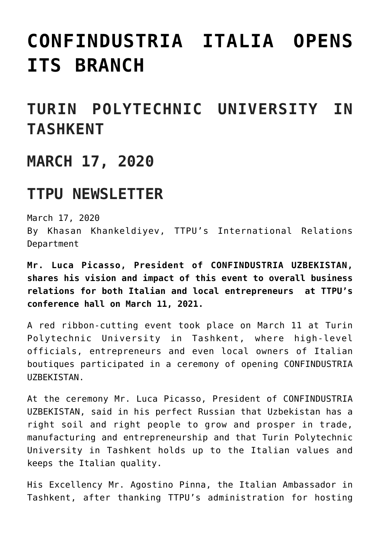# **[CONFINDUSTRIA ITALIA OPENS](https://polito.uz/13776/) [ITS BRANCH](https://polito.uz/13776/)**

## **TURIN POLYTECHNIC UNIVERSITY IN TASHKENT**

#### **MARCH 17, 2020**

### **TTPU NEWSLETTER**

March 17, 2020 By Khasan Khankeldiyev, TTPU's International Relations Department

**Mr. Luca Picasso, President of CONFINDUSTRIA UZBEKISTAN, shares his vision and impact of this event to overall business relations for both Italian and local entrepreneurs at TTPU's conference hall on March 11, 2021.**

A red ribbon-cutting event took place on March 11 at Turin Polytechnic University in Tashkent, where high-level officials, entrepreneurs and even local owners of Italian boutiques participated in a ceremony of opening CONFINDUSTRIA UZBEKISTAN.

At the ceremony Mr. Luca Picasso, President of CONFINDUSTRIA UZBEKISTAN, said in his perfect Russian that Uzbekistan has a right soil and right people to grow and prosper in trade, manufacturing and entrepreneurship and that Turin Polytechnic University in Tashkent holds up to the Italian values and keeps the Italian quality.

His Excellency Mr. Agostino Pinna, the Italian Ambassador in Tashkent, after thanking TTPU's administration for hosting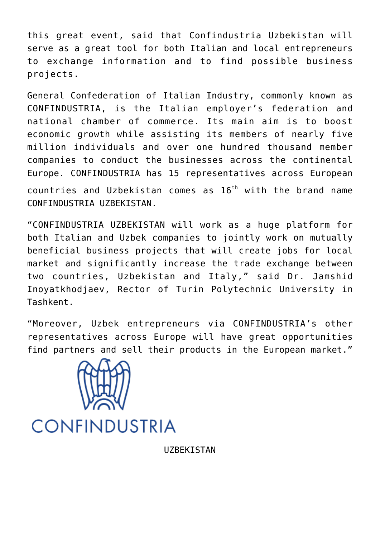this great event, said that Confindustria Uzbekistan will serve as a great tool for both Italian and local entrepreneurs to exchange information and to find possible business projects.

General Confederation of Italian Industry, commonly known as CONFINDUSTRIA, is the Italian employer's federation and national chamber of commerce. Its main aim is to boost economic growth while assisting its members of nearly five million individuals and over one hundred thousand member companies to conduct the businesses across the continental Europe. CONFINDUSTRIA has 15 representatives across European countries and Uzbekistan comes as  $16<sup>th</sup>$  with the brand name CONFINDUSTRIA UZBEKISTAN.

"CONFINDUSTRIA UZBEKISTAN will work as a huge platform for both Italian and Uzbek companies to jointly work on mutually beneficial business projects that will create jobs for local market and significantly increase the trade exchange between two countries, Uzbekistan and Italy," said Dr. Jamshid Inoyatkhodjaev, Rector of Turin Polytechnic University in Tashkent.

"Moreover, Uzbek entrepreneurs via CONFINDUSTRIA's other representatives across Europe will have great opportunities find partners and sell their products in the European market."



## **CONFINDUSTRIA**

UZBEKISTAN